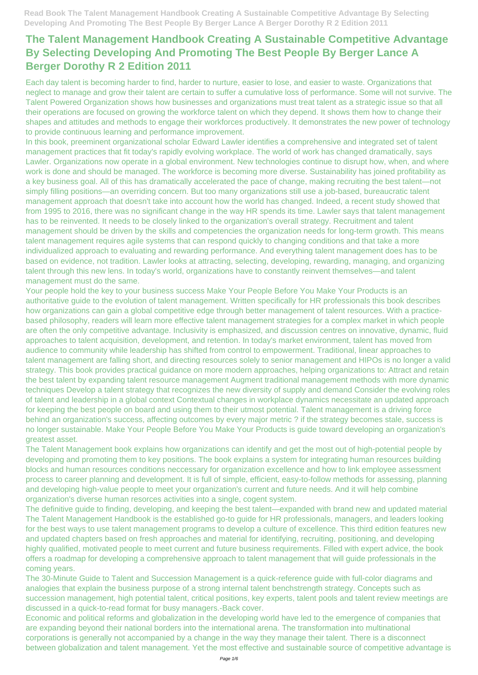Each day talent is becoming harder to find, harder to nurture, easier to lose, and easier to waste. Organizations that neglect to manage and grow their talent are certain to suffer a cumulative loss of performance. Some will not survive. The Talent Powered Organization shows how businesses and organizations must treat talent as a strategic issue so that all their operations are focused on growing the workforce talent on which they depend. It shows them how to change their shapes and attitudes and methods to engage their workforces productively. It demonstrates the new power of technology to provide continuous learning and performance improvement.

In this book, preeminent organizational scholar Edward Lawler identifies a comprehensive and integrated set of talent management practices that fit today's rapidly evolving workplace. The world of work has changed dramatically, says Lawler. Organizations now operate in a global environment. New technologies continue to disrupt how, when, and where work is done and should be managed. The workforce is becoming more diverse. Sustainability has joined profitability as a key business goal. All of this has dramatically accelerated the pace of change, making recruiting the best talent—not simply filling positions—an overriding concern. But too many organizations still use a job-based, bureaucratic talent management approach that doesn't take into account how the world has changed. Indeed, a recent study showed that from 1995 to 2016, there was no significant change in the way HR spends its time. Lawler says that talent management has to be reinvented. It needs to be closely linked to the organization's overall strategy. Recruitment and talent management should be driven by the skills and competencies the organization needs for long-term growth. This means talent management requires agile systems that can respond quickly to changing conditions and that take a more individualized approach to evaluating and rewarding performance. And everything talent management does has to be based on evidence, not tradition. Lawler looks at attracting, selecting, developing, rewarding, managing, and organizing talent through this new lens. In today's world, organizations have to constantly reinvent themselves—and talent management must do the same.

Your people hold the key to your business success Make Your People Before You Make Your Products is an authoritative guide to the evolution of talent management. Written specifically for HR professionals this book describes how organizations can gain a global competitive edge through better management of talent resources. With a practicebased philosophy, readers will learn more effective talent management strategies for a complex market in which people are often the only competitive advantage. Inclusivity is emphasized, and discussion centres on innovative, dynamic, fluid approaches to talent acquisition, development, and retention. In today's market environment, talent has moved from audience to community while leadership has shifted from control to empowerment. Traditional, linear approaches to talent management are falling short, and directing resources solely to senior management and HIPOs is no longer a valid strategy. This book provides practical guidance on more modern approaches, helping organizations to: Attract and retain the best talent by expanding talent resource management Augment traditional management methods with more dynamic techniques Develop a talent strategy that recognizes the new diversity of supply and demand Consider the evolving roles of talent and leadership in a global context Contextual changes in workplace dynamics necessitate an updated approach for keeping the best people on board and using them to their utmost potential. Talent management is a driving force behind an organization's success, affecting outcomes by every major metric ? if the strategy becomes stale, success is no longer sustainable. Make Your People Before You Make Your Products is guide toward developing an organization's greatest asset.

The Talent Management book explains how organizations can identify and get the most out of high-potential people by developing and promoting them to key positions. The book explains a system for integrating human resources building blocks and human resources conditions neccessary for organization excellence and how to link employee assessment process to career planning and development. It is full of simple, efficient, easy-to-follow methods for assessing, planning and developing high-value people to meet your organization's current and future needs. And it will help combine organization's diverse human resorces activities into a single, cogent system.

The definitive guide to finding, developing, and keeping the best talent—expanded with brand new and updated material

The Talent Management Handbook is the established go-to guide for HR professionals, managers, and leaders looking for the best ways to use talent management programs to develop a culture of excellence. This third edition features new and updated chapters based on fresh approaches and material for identifying, recruiting, positioning, and developing highly qualified, motivated people to meet current and future business requirements. Filled with expert advice, the book offers a roadmap for developing a comprehensive approach to talent management that will guide professionals in the coming years.

The 30-Minute Guide to Talent and Succession Management is a quick-reference guide with full-color diagrams and analogies that explain the business purpose of a strong internal talent benchstrength strategy. Concepts such as succession management, high potential talent, critical positions, key experts, talent pools and talent review meetings are discussed in a quick-to-read format for busy managers.-Back cover.

Economic and political reforms and globalization in the developing world have led to the emergence of companies that are expanding beyond their national borders into the international arena. The transformation into multinational corporations is generally not accompanied by a change in the way they manage their talent. There is a disconnect between globalization and talent management. Yet the most effective and sustainable source of competitive advantage is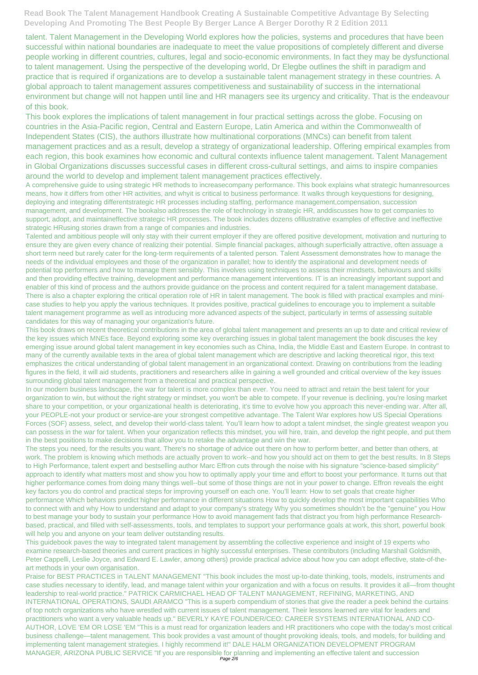talent. Talent Management in the Developing World explores how the policies, systems and procedures that have been successful within national boundaries are inadequate to meet the value propositions of completely different and diverse people working in different countries, cultures, legal and socio-economic environments. In fact they may be dysfunctional to talent management. Using the perspective of the developing world, Dr Elegbe outlines the shift in paradigm and practice that is required if organizations are to develop a sustainable talent management strategy in these countries. A global approach to talent management assures competitiveness and sustainability of success in the international environment but change will not happen until line and HR managers see its urgency and criticality. That is the endeavour of this book.

This book explores the implications of talent management in four practical settings across the globe. Focusing on countries in the Asia-Pacific region, Central and Eastern Europe, Latin America and within the Commonwealth of Independent States (CIS), the authors illustrate how multinational corporations (MNCs) can benefit from talent management practices and as a result, develop a strategy of organizational leadership. Offering empirical examples from each region, this book examines how economic and cultural contexts influence talent management. Talent Management in Global Organizations discusses successful cases in different cross-cultural settings, and aims to inspire companies around the world to develop and implement talent management practices effectively.

A comprehensive guide to using strategic HR methods to increasecompany performance. This book explains what strategic humanresources means, how it differs from other HR activities, and whyit is critical to business performance. It walks through keyquestions for designing, deploying and integrating differentstrategic HR processes including staffing, performance management,compensation, succession management, and development. The bookalso addresses the role of technology in strategic HR, anddiscusses how to get companies to support, adopt, and maintaineffective strategic HR processes. The book includes dozens ofillustrative examples of effective and ineffective strategic HRusing stories drawn from a range of companies and industries.

Talented and ambitious people will only stay with their current employer if they are offered positive development, motivation and nurturing to ensure they are given every chance of realizing their potential. Simple financial packages, although superficially attractive, often assuage a short term need but rarely cater for the long-term requirements of a talented person. Talent Assessment demonstrates how to manage the needs of the individual employees and those of the organization in parallel; how to identify the aspirational and development needs of potential top performers and how to manage them sensibly. This involves using techniques to assess their mindsets, behaviours and skills and then providing effective training, development and performance management interventions. IT is an increasingly important support and enabler of this kind of process and the authors provide guidance on the process and content required for a talent management database. There is also a chapter exploring the critical operation role of HR in talent management. The book is filled with practical examples and minicase studies to help you apply the various techniques. It provides positive, practical guidelines to encourage you to implement a suitable talent management programme as well as introducing more advanced aspects of the subject, particularly in terms of assessing suitable candidates for this way of managing your organization's future.

This book draws on recent theoretical contributions in the area of global talent management and presents an up to date and critical review of the key issues which MNEs face. Beyond exploring some key overarching issues in global talent management the book discuses the key emerging issue around global talent management in key economies such as China, India, the Middle East and Eastern Europe. In contrast to many of the currently available texts in the area of global talent management which are descriptive and lacking theoretical rigor, this text emphasizes the critical understanding of global talent management in an organizational context. Drawing on contributions from the leading figures in the field, it will aid students, practitioners and researchers alike in gaining a well grounded and critical overview of the key issues surrounding global talent management from a theoretical and practical perspective.

In our modern business landscape, the war for talent is more complex than ever. You need to attract and retain the best talent for your organization to win, but without the right strategy or mindset, you won't be able to compete. If your revenue is declining, you're losing market share to your competition, or your organizational health is deteriorating, it's time to evolve how you approach this never-ending war. After all, your PEOPLE-not your product or service-are your strongest competitive advantage. The Talent War explores how US Special Operations Forces (SOF) assess, select, and develop their world-class talent. You'll learn how to adopt a talent mindset, the single greatest weapon you can possess in the war for talent. When your organization reflects this mindset, you will hire, train, and develop the right people, and put them in the best positions to make decisions that allow you to retake the advantage and win the war.

The steps you need, for the results you want. There's no shortage of advice out there on how to perform better, and better than others, at work. The problem is knowing which methods are actually proven to work--and how you should act on them to get the best results. In 8 Steps to High Performance, talent expert and bestselling author Marc Effron cuts through the noise with his signature "science-based simplicity" approach to identify what matters most and show you how to optimally apply your time and effort to boost your performance. It turns out that higher performance comes from doing many things well--but some of those things are not in your power to change. Effron reveals the eight key factors you do control and practical steps for improving yourself on each one. You'll learn: How to set goals that create higher performance Which behaviors predict higher performance in different situations How to quickly develop the most important capabilities Who

to connect with and why How to understand and adapt to your company's strategy Why you sometimes shouldn't be the "genuine" you How to best manage your body to sustain your performance How to avoid management fads that distract you from high performance Researchbased, practical, and filled with self-assessments, tools, and templates to support your performance goals at work, this short, powerful book will help you and anyone on your team deliver outstanding results.

This guidebook paves the way to integrated talent management by assembling the collective experience and insight of 19 experts who examine research-based theories and current practices in highly successful enterprises. These contributors (including Marshall Goldsmith, Peter Cappelli, Leslie Joyce, and Edward E. Lawler, among others) provide practical advice about how you can adopt effective, state-of-theart methods in your own organisation.

Praise for BEST PRACTICES in TALENT MANAGEMENT "This book includes the most up-to-date thinking, tools, models, instruments and case studies necessary to identify, lead, and manage talent within your organization and with a focus on results. It provides it all—from thought leadership to real-world practice." PATRICK CARMICHAEL HEAD OF TALENT MANAGEMENT, REFINING, MARKETING, AND INTERNATIONAL OPERATIONS, SAUDI ARAMCO "This is a superb compendium of stories that give the reader a peek behind the curtains of top notch organizations who have wrestled with current issues of talent management. Their lessons learned are vital for leaders and practitioners who want a very valuable heads up." BEVERLY KAYE FOUNDER/CEO: CAREER SYSTEMS INTERNATIONAL AND CO-AUTHOR, LOVE 'EM OR LOSE 'EM "This is a must read for organization leaders and HR practitioners who cope with the today's most critical business challenge—talent management. This book provides a vast amount of thought provoking ideals, tools, and models, for building and implementing talent management strategies. I highly recommend it!" DALE HALM ORGANIZATION DEVELOPMENT PROGRAM MANAGER, ARIZONA PUBLIC SERVICE "If you are responsible for planning and implementing an effective talent and succession Page 2/6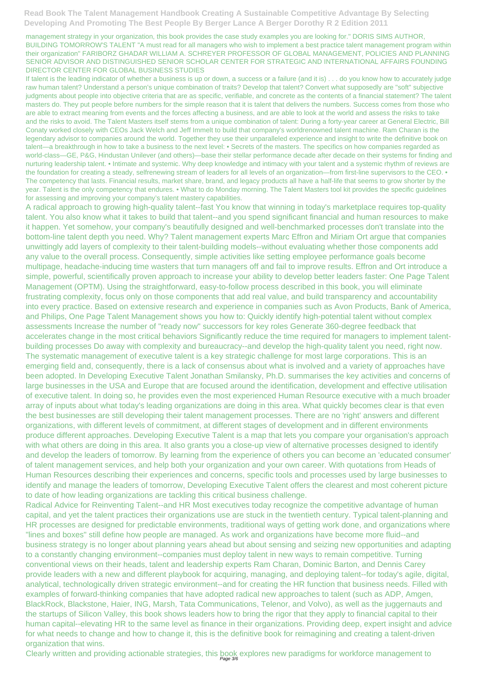management strategy in your organization, this book provides the case study examples you are looking for." DORIS SIMS AUTHOR, BUILDING TOMORROW'S TALENT "A must read for all managers who wish to implement a best practice talent management program within their organization" FARIBORZ GHADAR WILLIAM A. SCHREYER PROFESSOR OF GLOBAL MANAGEMENT, POLICIES AND PLANNING SENIOR ADVISOR AND DISTINGUISHED SENIOR SCHOLAR CENTER FOR STRATEGIC AND INTERNATIONAL AFFAIRS FOUNDING DIRECTOR CENTER FOR GLOBAL BUSINESS STUDIES

If talent is the leading indicator of whether a business is up or down, a success or a failure (and it is) . . . do you know how to accurately judge raw human talent? Understand a person's unique combination of traits? Develop that talent? Convert what supposedly are "soft" subjective judgments about people into objective criteria that are as specific, verifiable, and concrete as the contents of a financial statement? The talent masters do. They put people before numbers for the simple reason that it is talent that delivers the numbers. Success comes from those who are able to extract meaning from events and the forces affecting a business, and are able to look at the world and assess the risks to take and the risks to avoid. The Talent Masters itself stems from a unique combination of talent: During a forty-year career at General Electric, Bill Conaty worked closely with CEOs Jack Welch and Jeff Immelt to build that company's worldrenowned talent machine. Ram Charan is the legendary advisor to companies around the world. Together they use their unparalleled experience and insight to write the definitive book on talent—a breakthrough in how to take a business to the next level: • Secrets of the masters. The specifics on how companies regarded as world-class—GE, P&G, Hindustan Unilever (and others)—base their stellar performance decade after decade on their systems for finding and nurturing leadership talent. • Intimate and systemic. Why deep knowledge and intimacy with your talent and a systemic rhythm of reviews are the foundation for creating a steady, selfrenewing stream of leaders for all levels of an organization—from first-line supervisors to the CEO. • The competency that lasts. Financial results, market share, brand, and legacy products all have a half-life that seems to grow shorter by the year. Talent is the only competency that endures. • What to do Monday morning. The Talent Masters tool kit provides the specific guidelines for assessing and improving your company's talent mastery capabilities.

A radical approach to growing high-quality talent--fast You know that winning in today's marketplace requires top-quality talent. You also know what it takes to build that talent--and you spend significant financial and human resources to make it happen. Yet somehow, your company's beautifully designed and well-benchmarked processes don't translate into the bottom-line talent depth you need. Why? Talent management experts Marc Effron and Miriam Ort argue that companies unwittingly add layers of complexity to their talent-building models--without evaluating whether those components add any value to the overall process. Consequently, simple activities like setting employee performance goals become multipage, headache-inducing time wasters that turn managers off and fail to improve results. Effron and Ort introduce a simple, powerful, scientifically proven approach to increase your ability to develop better leaders faster: One Page Talent Management (OPTM). Using the straightforward, easy-to-follow process described in this book, you will eliminate frustrating complexity, focus only on those components that add real value, and build transparency and accountability into every practice. Based on extensive research and experience in companies such as Avon Products, Bank of America, and Philips, One Page Talent Management shows you how to: Quickly identify high-potential talent without complex assessments Increase the number of "ready now" successors for key roles Generate 360-degree feedback that accelerates change in the most critical behaviors Significantly reduce the time required for managers to implement talentbuilding processes Do away with complexity and bureaucracy--and develop the high-quality talent you need, right now. The systematic management of executive talent is a key strategic challenge for most large corporations. This is an emerging field and, consequently, there is a lack of consensus about what is involved and a variety of approaches have been adopted. In Developing Executive Talent Jonathan Smilansky, Ph.D. summarises the key activities and concerns of large businesses in the USA and Europe that are focused around the identification, development and effective utilisation of executive talent. In doing so, he provides even the most experienced Human Resource executive with a much broader array of inputs about what today's leading organizations are doing in this area. What quickly becomes clear is that even the best businesses are still developing their talent management processes. There are no 'right' answers and different organizations, with different levels of commitment, at different stages of development and in different environments produce different approaches. Developing Executive Talent is a map that lets you compare your organisation's approach with what others are doing in this area. It also grants you a close-up view of alternative processes designed to identify and develop the leaders of tomorrow. By learning from the experience of others you can become an 'educated consumer' of talent management services, and help both your organization and your own career. With quotations from Heads of Human Resources describing their experiences and concerns, specific tools and processes used by large businesses to identify and manage the leaders of tomorrow, Developing Executive Talent offers the clearest and most coherent picture to date of how leading organizations are tackling this critical business challenge.

Radical Advice for Reinventing Talent--and HR Most executives today recognize the competitive advantage of human

capital, and yet the talent practices their organizations use are stuck in the twentieth century. Typical talent-planning and HR processes are designed for predictable environments, traditional ways of getting work done, and organizations where "lines and boxes" still define how people are managed. As work and organizations have become more fluid--and business strategy is no longer about planning years ahead but about sensing and seizing new opportunities and adapting to a constantly changing environment--companies must deploy talent in new ways to remain competitive. Turning conventional views on their heads, talent and leadership experts Ram Charan, Dominic Barton, and Dennis Carey provide leaders with a new and different playbook for acquiring, managing, and deploying talent--for today's agile, digital, analytical, technologically driven strategic environment--and for creating the HR function that business needs. Filled with examples of forward-thinking companies that have adopted radical new approaches to talent (such as ADP, Amgen, BlackRock, Blackstone, Haier, ING, Marsh, Tata Communications, Telenor, and Volvo), as well as the juggernauts and the startups of Silicon Valley, this book shows leaders how to bring the rigor that they apply to financial capital to their human capital--elevating HR to the same level as finance in their organizations. Providing deep, expert insight and advice for what needs to change and how to change it, this is the definitive book for reimagining and creating a talent-driven organization that wins.

Clearly written and providing actionable strategies, this book explores new paradigms for workforce management to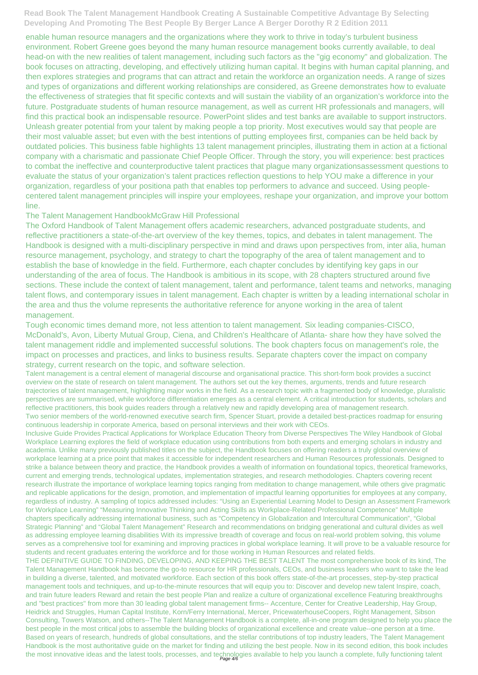enable human resource managers and the organizations where they work to thrive in today's turbulent business environment. Robert Greene goes beyond the many human resource management books currently available, to deal head-on with the new realities of talent management, including such factors as the "gig economy" and globalization. The book focuses on attracting, developing, and effectively utilizing human capital. It begins with human capital planning, and then explores strategies and programs that can attract and retain the workforce an organization needs. A range of sizes and types of organizations and different working relationships are considered, as Greene demonstrates how to evaluate the effectiveness of strategies that fit specific contexts and will sustain the viability of an organization's workforce into the future. Postgraduate students of human resource management, as well as current HR professionals and managers, will find this practical book an indispensable resource. PowerPoint slides and test banks are available to support instructors. Unleash greater potential from your talent by making people a top priority. Most executives would say that people are their most valuable asset; but even with the best intentions of putting employees first, companies can be held back by outdated policies. This business fable highlights 13 talent management principles, illustrating them in action at a fictional company with a charismatic and passionate Chief People Officer. Through the story, you will experience: best practices to combat the ineffective and counterproductive talent practices that plague many organizationsassessment questions to evaluate the status of your organization's talent practices reflection questions to help YOU make a difference in your organization, regardless of your positiona path that enables top performers to advance and succeed. Using peoplecentered talent management principles will inspire your employees, reshape your organization, and improve your bottom line.

## The Talent Management HandbookMcGraw Hill Professional

Inclusive Guide Provides Practical Applications for Workplace Education Theory from Diverse Perspectives The Wiley Handbook of Global Workplace Learning explores the field of workplace education using contributions from both experts and emerging scholars in industry and academia. Unlike many previously published titles on the subject, the Handbook focuses on offering readers a truly global overview of workplace learning at a price point that makes it accessible for independent researchers and Human Resources professionals. Designed to strike a balance between theory and practice, the Handbook provides a wealth of information on foundational topics, theoretical frameworks, current and emerging trends, technological updates, implementation strategies, and research methodologies. Chapters covering recent research illustrate the importance of workplace learning topics ranging from meditation to change management, while others give pragmatic and replicable applications for the design, promotion, and implementation of impactful learning opportunities for employees at any company, regardless of industry. A sampling of topics addressed includes: "Using an Experiential Learning Model to Design an Assessment Framework for Workplace Learning" "Measuring Innovative Thinking and Acting Skills as Workplace-Related Professional Competence" Multiple chapters specifically addressing international business, such as "Competency in Globalization and Intercultural Communication", "Global Strategic Planning" and "Global Talent Management" Research and recommendations on bridging generational and cultural divides as well as addressing employee learning disabilities With its impressive breadth of coverage and focus on real-world problem solving, this volume serves as a comprehensive tool for examining and improving practices in global workplace learning. It will prove to be a valuable resource for students and recent graduates entering the workforce and for those working in Human Resources and related fields. THE DEFINITIVE GUIDE TO FINDING, DEVELOPING, AND KEEPING THE BEST TALENT The most comprehensive book of its kind, The Talent Management Handbook has become the go-to resource for HR professionals, CEOs, and business leaders who want to take the lead in building a diverse, talented, and motivated workforce. Each section of this book offers state-of-the-art processes, step-by-step practical management tools and techniques, and up-to-the-minute resources that will equip you to: Discover and develop new talent Inspire, coach, and train future leaders Reward and retain the best people Plan and realize a culture of organizational excellence Featuring breakthroughs and "best practices" from more than 30 leading global talent management firms-- Accenture, Center for Creative Leadership, Hay Group, Heidrick and Struggles, Human Capital Institute, Korn/Ferry International, Mercer, PricewaterhouseCoopers, Right Management, Sibson Consulting, Towers Watson, and others--The Talent Management Handbook is a complete, all-in-one program designed to help you place the best people in the most critical jobs to assemble the building blocks of organizational excellence and create value--one person at a time. Based on years of research, hundreds of global consultations, and the stellar contributions of top industry leaders, The Talent Management Handbook is the most authoritative guide on the market for finding and utilizing the best people. Now in its second edition, this book includes the most innovative ideas and the latest tools, processes, and technologies available to help you launch a complete, fully functioning talent

The Oxford Handbook of Talent Management offers academic researchers, advanced postgraduate students, and reflective practitioners a state-of-the-art overview of the key themes, topics, and debates in talent management. The Handbook is designed with a multi-disciplinary perspective in mind and draws upon perspectives from, inter alia, human resource management, psychology, and strategy to chart the topography of the area of talent management and to establish the base of knowledge in the field. Furthermore, each chapter concludes by identifying key gaps in our understanding of the area of focus. The Handbook is ambitious in its scope, with 28 chapters structured around five sections. These include the context of talent management, talent and performance, talent teams and networks, managing talent flows, and contemporary issues in talent management. Each chapter is written by a leading international scholar in the area and thus the volume represents the authoritative reference for anyone working in the area of talent management.

Tough economic times demand more, not less attention to talent management. Six leading companies-CISCO, McDonald's, Avon, Liberty Mutual Group, Ciena, and Children's Healthcare of Atlanta- share how they have solved the talent management riddle and implemented successful solutions. The book chapters focus on management's role, the impact on processes and practices, and links to business results. Separate chapters cover the impact on company strategy, current research on the topic, and software selection.

Talent management is a central element of managerial discourse and organisational practice. This short-form book provides a succinct overview on the state of research on talent management. The authors set out the key themes, arguments, trends and future research trajectories of talent management, highlighting major works in the field. As a research topic with a fragmented body of knowledge, pluralistic perspectives are summarised, while workforce differentiation emerges as a central element. A critical introduction for students, scholars and reflective practitioners, this book guides readers through a relatively new and rapidly developing area of management research. Two senior members of the world-renowned executive search firm, Spencer Stuart, provide a detailed best-practices roadmap for ensuring continuous leadership in corporate America, based on personal interviews and their work with CEOs.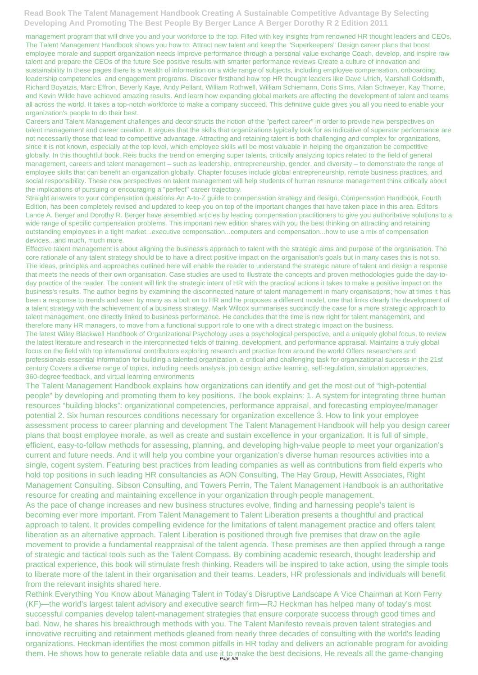management program that will drive you and your workforce to the top. Filled with key insights from renowned HR thought leaders and CEOs, The Talent Management Handbook shows you how to: Attract new talent and keep the "Superkeepers" Design career plans that boost employee morale and support organization needs Improve performance through a personal value exchange Coach, develop, and inspire raw talent and prepare the CEOs of the future See positive results with smarter performance reviews Create a culture of innovation and sustainability In these pages there is a wealth of information on a wide range of subjects, including employee compensation, onboarding, leadership competencies, and engagement programs. Discover firsthand how top HR thought leaders like Dave Ulrich, Marshall Goldsmith, Richard Boyatzis, Marc Effron, Beverly Kaye, Andy Pellant, William Rothwell, William Schiemann, Doris Sims, Allan Schweyer, Kay Thorne, and Kevin Wilde have achieved amazing results. And learn how expanding global markets are affecting the development of talent and teams all across the world. It takes a top-notch workforce to make a company succeed. This definitive guide gives you all you need to enable your organization's people to do their best.

Careers and Talent Management challenges and deconstructs the notion of the "perfect career" in order to provide new perspectives on talent management and career creation. It argues that the skills that organizations typically look for as indicative of superstar performance are not necessarily those that lead to competitive advantage. Attracting and retaining talent is both challenging and complex for organizations, since it is not known, especially at the top level, which employee skills will be most valuable in helping the organization be competitive globally. In this thoughtful book, Reis bucks the trend on emerging super talents, critically analyzing topics related to the field of general management, careers and talent management – such as leadership, entrepreneurship, gender, and diversity – to demonstrate the range of employee skills that can benefit an organization globally. Chapter focuses include global entrepreneurship, remote business practices, and social responsibility. These new perspectives on talent management will help students of human resource management think critically about the implications of pursuing or encouraging a "perfect" career trajectory.

Straight answers to your compensation questions An A-to-Z guide to compensation strategy and design, Compensation Handbook, Fourth Edition, has been completely revised and updated to keep you on top of the important changes that have taken place in this area. Editors Lance A. Berger and Dorothy R. Berger have assembled articles by leading compensation practitioners to give you authoritative solutions to a wide range of specific compensation problems. This important new edition shares with you the best thinking on attracting and retaining outstanding employees in a tight market...executive compensation...computers and compensation...how to use a mix of compensation devices...and much, much more.

Rethink Everything You Know about Managing Talent in Today's Disruptive Landscape A Vice Chairman at Korn Ferry (KF)—the world's largest talent advisory and executive search firm—RJ Heckman has helped many of today's most successful companies develop talent-management strategies that ensure corporate success through good times and bad. Now, he shares his breakthrough methods with you. The Talent Manifesto reveals proven talent strategies and innovative recruiting and retainment methods gleaned from nearly three decades of consulting with the world's leading organizations. Heckman identifies the most common pitfalls in HR today and delivers an actionable program for avoiding them. He shows how to generate reliable data and use it to make the best decisions. He reveals all the game-changing

Effective talent management is about aligning the business's approach to talent with the strategic aims and purpose of the organisation. The core rationale of any talent strategy should be to have a direct positive impact on the organisation's goals but in many cases this is not so. The ideas, principles and approaches outlined here will enable the reader to understand the strategic nature of talent and design a response that meets the needs of their own organisation. Case studies are used to illustrate the concepts and proven methodologies guide the day-today practice of the reader. The content will link the strategic intent of HR with the practical actions it takes to make a positive impact on the business's results. The author begins by examining the disconnected nature of talent management in many organisations; how at times it has been a response to trends and seen by many as a bolt on to HR and he proposes a different model, one that links clearly the development of a talent strategy with the achievement of a business strategy. Mark Wilcox summarises succinctly the case for a more strategic approach to talent management, one directly linked to business performance. He concludes that the time is now right for talent management, and therefore many HR managers, to move from a functional support role to one with a direct strategic impact on the business.

The latest Wiley Blackwell Handbook of Organizational Psychology uses a psychological perspective, and a uniquely global focus, to review the latest literature and research in the interconnected fields of training, development, and performance appraisal. Maintains a truly global focus on the field with top international contributors exploring research and practice from around the world Offers researchers and professionals essential information for building a talented organization, a critical and challenging task for organizational success in the 21st century Covers a diverse range of topics, including needs analysis, job design, active learning, self-regulation, simulation approaches, 360-degree feedback, and virtual learning environments

The Talent Management Handbook explains how organizations can identify and get the most out of "high-potential people" by developing and promoting them to key positions. The book explains: 1. A system for integrating three human resources "building blocks": organizational competencies, performance appraisal, and forecasting employee/manager potential 2. Six human resources conditions necessary for organization excellence 3. How to link your employee assessment process to career planning and development The Talent Management Handbook will help you design career plans that boost employee morale, as well as create and sustain excellence in your organization. It is full of simple, efficient, easy-to-follow methods for assessing, planning, and developing high-value people to meet your organization's current and future needs. And it will help you combine your organization's diverse human resources activities into a single, cogent system. Featuring best practices from leading companies as well as contributions from field experts who hold top positions in such leading HR consultancies as AON Consulting, The Hay Group, Hewitt Associates, Right Management Consulting. Sibson Consulting, and Towers Perrin, The Talent Management Handbook is an authoritative resource for creating and maintaining excellence in your organization through people management. As the pace of change increases and new business structures evolve, finding and harnessing people's talent is

becoming ever more important. From Talent Management to Talent Liberation presents a thoughtful and practical approach to talent. It provides compelling evidence for the limitations of talent management practice and offers talent liberation as an alternative approach. Talent Liberation is positioned through five premises that draw on the agile movement to provide a fundamental reappraisal of the talent agenda. These premises are then applied through a range of strategic and tactical tools such as the Talent Compass. By combining academic research, thought leadership and practical experience, this book will stimulate fresh thinking. Readers will be inspired to take action, using the simple tools to liberate more of the talent in their organisation and their teams. Leaders, HR professionals and individuals will benefit from the relevant insights shared here.